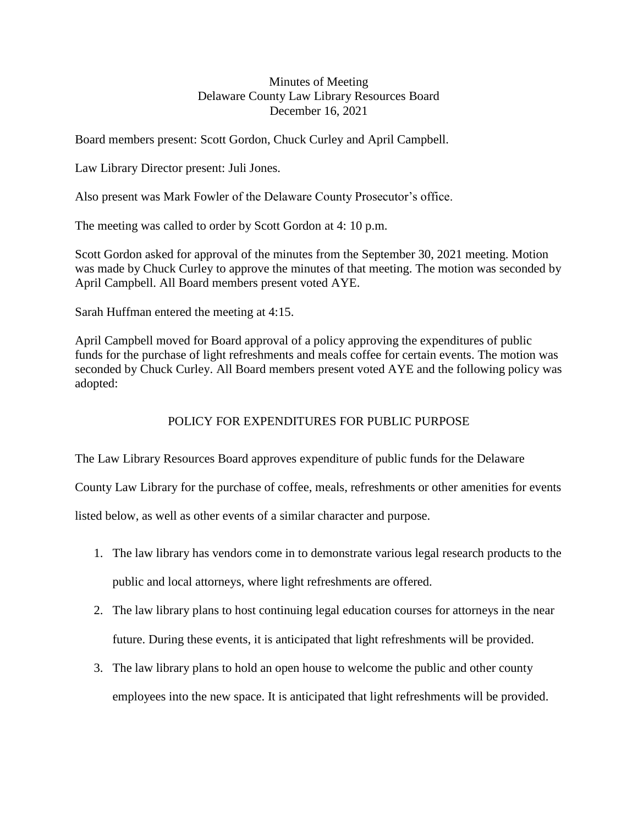## Minutes of Meeting Delaware County Law Library Resources Board December 16, 2021

Board members present: Scott Gordon, Chuck Curley and April Campbell.

Law Library Director present: Juli Jones.

Also present was Mark Fowler of the Delaware County Prosecutor's office.

The meeting was called to order by Scott Gordon at 4: 10 p.m.

Scott Gordon asked for approval of the minutes from the September 30, 2021 meeting. Motion was made by Chuck Curley to approve the minutes of that meeting. The motion was seconded by April Campbell. All Board members present voted AYE.

Sarah Huffman entered the meeting at 4:15.

April Campbell moved for Board approval of a policy approving the expenditures of public funds for the purchase of light refreshments and meals coffee for certain events. The motion was seconded by Chuck Curley. All Board members present voted AYE and the following policy was adopted:

## POLICY FOR EXPENDITURES FOR PUBLIC PURPOSE

The Law Library Resources Board approves expenditure of public funds for the Delaware

County Law Library for the purchase of coffee, meals, refreshments or other amenities for events

listed below, as well as other events of a similar character and purpose.

- 1. The law library has vendors come in to demonstrate various legal research products to the public and local attorneys, where light refreshments are offered.
- 2. The law library plans to host continuing legal education courses for attorneys in the near future. During these events, it is anticipated that light refreshments will be provided.
- 3. The law library plans to hold an open house to welcome the public and other county employees into the new space. It is anticipated that light refreshments will be provided.